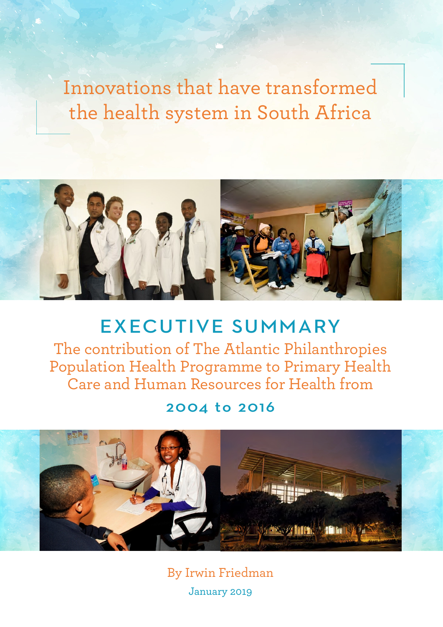Innovations that have transformed the health system in South Africa



EXECUTIVE SUMMARY The contribution of The Atlantic Philanthropies Population Health Programme to Primary Health Care and Human Resources for Health from

2004 to 2016



By Irwin Friedman January 2019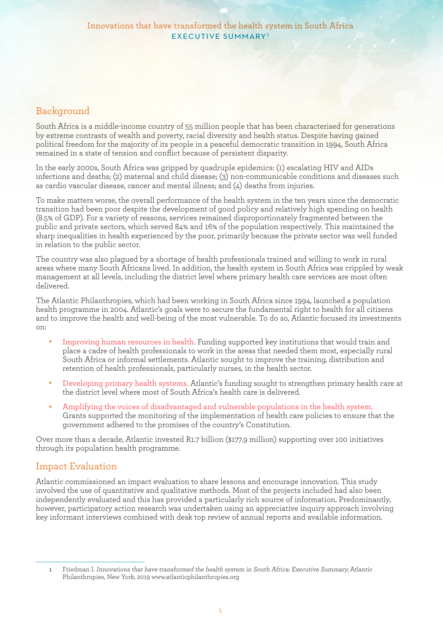# Background

South Africa is a middle-income country of 55 million people that has been characterised for generations by extreme contrasts of wealth and poverty, racial diversity and health status. Despite having gained political freedom for the majority of its people in a peaceful democratic transition in 1994, South Africa remained in a state of tension and conflict because of persistent disparity.

In the early 2000s, South Africa was gripped by quadruple epidemics: (1) escalating HIV and AIDs infections and deaths; (2) maternal and child disease; (3) non-communicable conditions and diseases such as cardio vascular disease, cancer and mental illness; and (4) deaths from injuries.

To make matters worse, the overall performance of the health system in the ten years since the democratic transition had been poor despite the development of good policy and relatively high spending on health (8.5% of GDP). For a variety of reasons, services remained disproportionately fragmented between the public and private sectors, which served 84% and 16% of the population respectively. This maintained the sharp inequalities in health experienced by the poor, primarily because the private sector was well funded in relation to the public sector.

The country was also plagued by a shortage of health professionals trained and willing to work in rural areas where many South Africans lived. In addition, the health system in South Africa was crippled by weak management at all levels, including the district level where primary health care services are most often delivered.

The Atlantic Philanthropies, which had been working in South Africa since 1994, launched a population health programme in 2004. Atlantic's goals were to secure the fundamental right to health for all citizens and to improve the health and well-being of the most vulnerable. To do so, Atlantic focused its investments on:

- <sup>l</sup> Improving human resources in health. Funding supported key institutions that would train and place a cadre of health professionals to work in the areas that needed them most, especially rural South Africa or informal settlements. Atlantic sought to improve the training, distribution and retention of health professionals, particularly nurses, in the health sector.
- <sup>l</sup> Developing primary health systems. Atlantic's funding sought to strengthen primary health care at the district level where most of South Africa's health care is delivered.
- <sup>l</sup> Amplifying the voices of disadvantaged and vulnerable populations in the health system. Grants supported the monitoring of the implementation of health care policies to ensure that the government adhered to the promises of the country's Constitution.

Over more than a decade, Atlantic invested R1.7 billion (\$177.9 million) supporting over 100 initiatives through its population health programme.

# Impact Evaluation

Atlantic commissioned an impact evaluation to share lessons and encourage innovation. This study involved the use of quantitative and qualitative methods. Most of the projects included had also been independently evaluated and this has provided a particularly rich source of information. Predominantly, however, participatory action research was undertaken using an appreciative inquiry approach involving key informant interviews combined with desk top review of annual reports and available information.

<sup>1</sup> Friedman I. Innovations that have transformed the health system in South Africa: Executive Summary, Atlantic Philanthropies, New York, 2019 [www.atlanticphilanthropies.org](http://www.atlanticphilanthropies.org)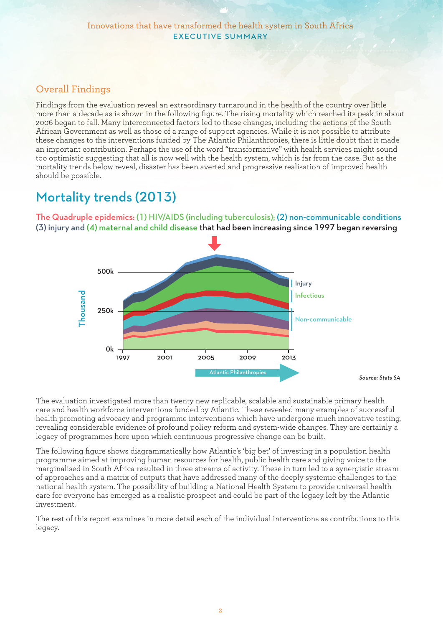# Overall Findings

Findings from the evaluation reveal an extraordinary turnaround in the health of the country over little more than a decade as is shown in the following figure. The rising mortality which reached its peak in about 2006 began to fall. Many interconnected factors led to these changes, including the actions of the South African Government as well as those of a range of support agencies. While it is not possible to attribute these changes to the interventions funded by The Atlantic Philanthropies, there is little doubt that it made an important contribution. Perhaps the use of the word "transformative" with health services might sound too optimistic suggesting that all is now well with the health system, which is far from the case. But as the mortality trends below reveal, disaster has been averted and progressive realisation of improved health should be possible.

# Mortality trends (2013)

The Quadruple epidemics: (1) HIV/AIDS (including tuberculosis); (2) non-communicable conditions (3) injury and (4) maternal and child disease that had been increasing since 1997 began reversing



The evaluation investigated more than twenty new replicable, scalable and sustainable primary health care and health workforce interventions funded by Atlantic. These revealed many examples of successful health promoting advocacy and programme interventions which have undergone much innovative testing, revealing considerable evidence of profound policy reform and system-wide changes. They are certainly a legacy of programmes here upon which continuous progressive change can be built.

The following figure shows diagrammatically how Atlantic's 'big bet' of investing in a population health programme aimed at improving human resources for health, public health care and giving voice to the marginalised in South Africa resulted in three streams of activity. These in turn led to a synergistic stream of approaches and a matrix of outputs that have addressed many of the deeply systemic challenges to the national health system. The possibility of building a National Health System to provide universal health care for everyone has emerged as a realistic prospect and could be part of the legacy left by the Atlantic investment.

The rest of this report examines in more detail each of the individual interventions as contributions to this legacy.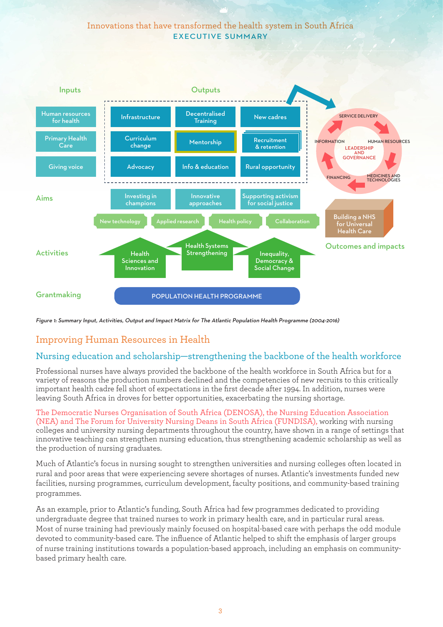### Innovations that have transformed the health system in South Africa EXECUTIVE SUMMARY



Figure 1: Summary Input, Activities, Output and Impact Matrix for The Atlantic Population Health Programme (2004-2016)

# Improving Human Resources in Health

#### Nursing education and scholarship—strengthening the backbone of the health workforce

Professional nurses have always provided the backbone of the health workforce in South Africa but for a variety of reasons the production numbers declined and the competencies of new recruits to this critically important health cadre fell short of expectations in the first decade after 1994. In addition, nurses were leaving South Africa in droves for better opportunities, exacerbating the nursing shortage.

The Democratic Nurses Organisation of South Africa (DENOSA), the Nursing Education Association (NEA) and The Forum for University Nursing Deans in South Africa (FUNDISA), working with nursing colleges and university nursing departments throughout the country, have shown in a range of settings that innovative teaching can strengthen nursing education, thus strengthening academic scholarship as well as the production of nursing graduates.

Much of Atlantic's focus in nursing sought to strengthen universities and nursing colleges often located in rural and poor areas that were experiencing severe shortages of nurses. Atlantic's investments funded new facilities, nursing programmes, curriculum development, faculty positions, and community-based training programmes.

As an example, prior to Atlantic's funding, South Africa had few programmes dedicated to providing undergraduate degree that trained nurses to work in primary health care, and in particular rural areas. Most of nurse training had previously mainly focused on hospital-based care with perhaps the odd module devoted to community-based care. The influence of Atlantic helped to shift the emphasis of larger groups of nurse training institutions towards a population-based approach, including an emphasis on communitybased primary health care.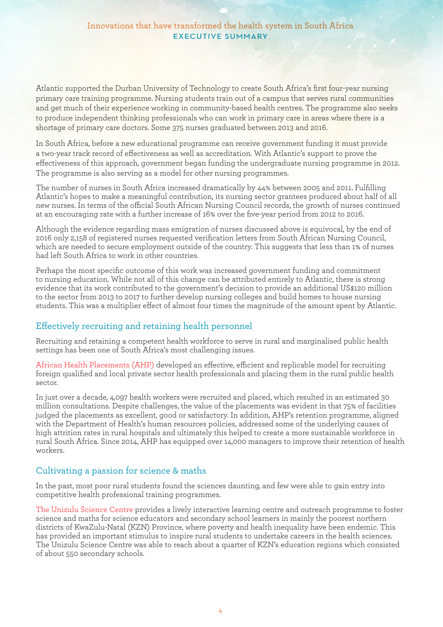Atlantic supported the Durban University of Technology to create South Africa's first four-year nursing primary care training programme. Nursing students train out of a campus that serves rural communities and get much of their experience working in community-based health centres. The programme also seeks to produce independent thinking professionals who can work in primary care in areas where there is a shortage of primary care doctors. Some 375 nurses graduated between 2013 and 2016.

In South Africa, before a new educational programme can receive government funding it must provide a two-year track record of effectiveness as well as accreditation. With Atlantic's support to prove the effectiveness of this approach, government began funding the undergraduate nursing programme in 2012. The programme is also serving as a model for other nursing programmes.

The number of nurses in South Africa increased dramatically by 44% between 2005 and 2011. Fulfilling Atlantic's hopes to make a meaningful contribution, its nursing sector grantees produced about half of all new nurses. In terms of the official South African Nursing Council records, the growth of nurses continued at an encouraging rate with a further increase of 16% over the five-year period from 2012 to 2016.

Although the evidence regarding mass emigration of nurses discussed above is equivocal, by the end of 2016 only 2,158 of registered nurses requested verification letters from South African Nursing Council, which are needed to secure employment outside of the country. This suggests that less than 1% of nurses had left South Africa to work in other countries.

Perhaps the most specific outcome of this work was increased government funding and commitment to nursing education. While not all of this change can be attributed entirely to Atlantic, there is strong evidence that its work contributed to the government's decision to provide an additional US\$120 million to the sector from 2013 to 2017 to further develop nursing colleges and build homes to house nursing students. This was a multiplier effect of almost four times the magnitude of the amount spent by Atlantic.

# Effectively recruiting and retaining health personnel

Recruiting and retaining a competent health workforce to serve in rural and marginalised public health settings has been one of South Africa's most challenging issues.

African Health Placements (AHP) developed an effective, efficient and replicable model for recruiting foreign qualified and local private sector health professionals and placing them in the rural public health sector.

In just over a decade, 4,097 health workers were recruited and placed, which resulted in an estimated 30 million consultations. Despite challenges, the value of the placements was evident in that 75% of facilities judged the placements as excellent, good or satisfactory. In addition, AHP's retention programme, aligned with the Department of Health's human resources policies, addressed some of the underlying causes of high attrition rates in rural hospitals and ultimately this helped to create a more sustainable workforce in rural South Africa. Since 2014, AHP has equipped over 14,000 managers to improve their retention of health workers.

# Cultivating a passion for science & maths

In the past, most poor rural students found the sciences daunting, and few were able to gain entry into competitive health professional training programmes.

The Unizulu Science Centre provides a lively interactive learning centre and outreach programme to foster science and maths for science educators and secondary school learners in mainly the poorest northern districts of KwaZulu-Natal (KZN) Province, where poverty and health inequality have been endemic. This has provided an important stimulus to inspire rural students to undertake careers in the health sciences. The Unizulu Science Centre was able to reach about a quarter of KZN's education regions which consisted of about 550 secondary schools.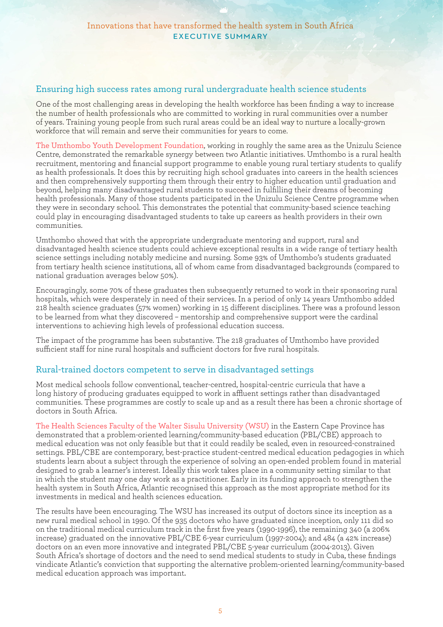#### Ensuring high success rates among rural undergraduate health science students

One of the most challenging areas in developing the health workforce has been finding a way to increase the number of health professionals who are committed to working in rural communities over a number of years. Training young people from such rural areas could be an ideal way to nurture a locally-grown workforce that will remain and serve their communities for years to come.

The Umthombo Youth Development Foundation, working in roughly the same area as the Unizulu Science Centre, demonstrated the remarkable synergy between two Atlantic initiatives. Umthombo is a rural health recruitment, mentoring and financial support programme to enable young rural tertiary students to qualify as health professionals. It does this by recruiting high school graduates into careers in the health sciences and then comprehensively supporting them through their entry to higher education until graduation and beyond, helping many disadvantaged rural students to succeed in fulfilling their dreams of becoming health professionals. Many of those students participated in the Unizulu Science Centre programme when they were in secondary school. This demonstrates the potential that community-based science teaching could play in encouraging disadvantaged students to take up careers as health providers in their own communities.

Umthombo showed that with the appropriate undergraduate mentoring and support, rural and disadvantaged health science students could achieve exceptional results in a wide range of tertiary health science settings including notably medicine and nursing. Some 93% of Umthombo's students graduated from tertiary health science institutions, all of whom came from disadvantaged backgrounds (compared to national graduation averages below 50%).

Encouragingly, some 70% of these graduates then subsequently returned to work in their sponsoring rural hospitals, which were desperately in need of their services. In a period of only 14 years Umthombo added 218 health science graduates (57% women) working in 15 different disciplines. There was a profound lesson to be learned from what they discovered – mentorship and comprehensive support were the cardinal interventions to achieving high levels of professional education success.

The impact of the programme has been substantive. The 218 graduates of Umthombo have provided sufficient staff for nine rural hospitals and sufficient doctors for five rural hospitals.

#### Rural-trained doctors competent to serve in disadvantaged settings

Most medical schools follow conventional, teacher-centred, hospital-centric curricula that have a long history of producing graduates equipped to work in affluent settings rather than disadvantaged communities. These programmes are costly to scale up and as a result there has been a chronic shortage of doctors in South Africa.

The Health Sciences Faculty of the Walter Sisulu University (WSU) in the Eastern Cape Province has demonstrated that a problem-oriented learning/community-based education (PBL/CBE) approach to medical education was not only feasible but that it could readily be scaled, even in resourced-constrained settings. PBL/CBE are contemporary, best-practice student-centred medical education pedagogies in which students learn about a subject through the experience of solving an open-ended problem found in material designed to grab a learner's interest. Ideally this work takes place in a community setting similar to that in which the student may one day work as a practitioner. Early in its funding approach to strengthen the health system in South Africa, Atlantic recognised this approach as the most appropriate method for its investments in medical and health sciences education.

The results have been encouraging. The WSU has increased its output of doctors since its inception as a new rural medical school in 1990. Of the 935 doctors who have graduated since inception, only 111 did so on the traditional medical curriculum track in the first five years (1990-1996), the remaining 340 (a 206% increase) graduated on the innovative PBL/CBE 6-year curriculum (1997-2004); and 484 (a 42% increase) doctors on an even more innovative and integrated PBL/CBE 5-year curriculum (2004-2013). Given South Africa's shortage of doctors and the need to send medical students to study in Cuba, these findings vindicate Atlantic's conviction that supporting the alternative problem-oriented learning/community-based medical education approach was important.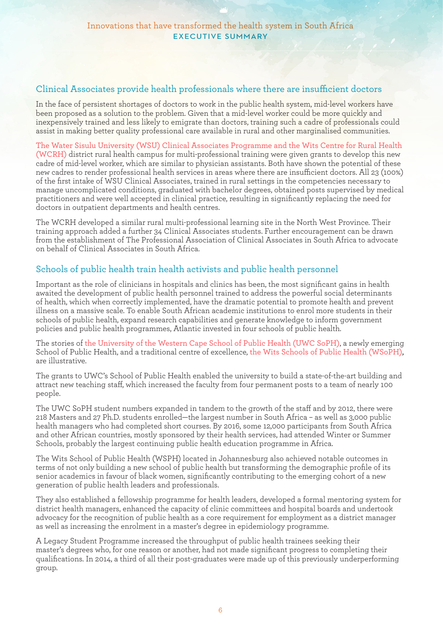#### Clinical Associates provide health professionals where there are insufficient doctors

In the face of persistent shortages of doctors to work in the public health system, mid-level workers have been proposed as a solution to the problem. Given that a mid-level worker could be more quickly and inexpensively trained and less likely to emigrate than doctors, training such a cadre of professionals could assist in making better quality professional care available in rural and other marginalised communities.

The Water Sisulu University (WSU) Clinical Associates Programme and the Wits Centre for Rural Health (WCRH) district rural health campus for multi-professional training were given grants to develop this new cadre of mid-level worker, which are similar to physician assistants. Both have shown the potential of these new cadres to render professional health services in areas where there are insufficient doctors. All 23 (100%) of the first intake of WSU Clinical Associates, trained in rural settings in the competencies necessary to manage uncomplicated conditions, graduated with bachelor degrees, obtained posts supervised by medical practitioners and were well accepted in clinical practice, resulting in significantly replacing the need for doctors in outpatient departments and health centres.

The WCRH developed a similar rural multi-professional learning site in the North West Province. Their training approach added a further 34 Clinical Associates students. Further encouragement can be drawn from the establishment of The Professional Association of Clinical Associates in South Africa to advocate on behalf of Clinical Associates in South Africa.

# Schools of public health train health activists and public health personnel

Important as the role of clinicians in hospitals and clinics has been, the most significant gains in health awaited the development of public health personnel trained to address the powerful social determinants of health, which when correctly implemented, have the dramatic potential to promote health and prevent illness on a massive scale. To enable South African academic institutions to enrol more students in their schools of public health, expand research capabilities and generate knowledge to inform government policies and public health programmes, Atlantic invested in four schools of public health.

The stories of the University of the Western Cape School of Public Health (UWC SoPH), a newly emerging School of Public Health, and a traditional centre of excellence, the Wits Schools of Public Health (WSoPH), are illustrative.

The grants to UWC's School of Public Health enabled the university to build a state-of-the-art building and attract new teaching staff, which increased the faculty from four permanent posts to a team of nearly 100 people.

The UWC SoPH student numbers expanded in tandem to the growth of the staff and by 2012, there were 218 Masters and 27 Ph.D. students enrolled—the largest number in South Africa – as well as 3,000 public health managers who had completed short courses. By 2016, some 12,000 participants from South Africa and other African countries, mostly sponsored by their health services, had attended Winter or Summer Schools, probably the largest continuing public health education programme in Africa.

The Wits School of Public Health (WSPH) located in Johannesburg also achieved notable outcomes in terms of not only building a new school of public health but transforming the demographic profile of its senior academics in favour of black women, significantly contributing to the emerging cohort of a new generation of public health leaders and professionals.

They also established a fellowship programme for health leaders, developed a formal mentoring system for district health managers, enhanced the capacity of clinic committees and hospital boards and undertook advocacy for the recognition of public health as a core requirement for employment as a district manager as well as increasing the enrolment in a master's degree in epidemiology programme.

A Legacy Student Programme increased the throughput of public health trainees seeking their master's degrees who, for one reason or another, had not made significant progress to completing their qualifications. In 2014, a third of all their post-graduates were made up of this previously underperforming group.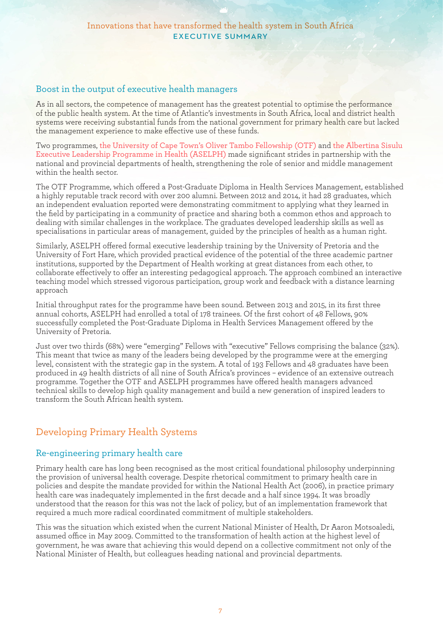#### Boost in the output of executive health managers

As in all sectors, the competence of management has the greatest potential to optimise the performance of the public health system. At the time of Atlantic's investments in South Africa, local and district health systems were receiving substantial funds from the national government for primary health care but lacked the management experience to make effective use of these funds.

Two programmes, the University of Cape Town's Oliver Tambo Fellowship (OTF) and the Albertina Sisulu Executive Leadership Programme in Health (ASELPH) made significant strides in partnership with the national and provincial departments of health, strengthening the role of senior and middle management within the health sector.

The OTF Programme, which offered a Post-Graduate Diploma in Health Services Management, established a highly reputable track record with over 200 alumni. Between 2012 and 2014, it had 28 graduates, which an independent evaluation reported were demonstrating commitment to applying what they learned in the field by participating in a community of practice and sharing both a common ethos and approach to dealing with similar challenges in the workplace. The graduates developed leadership skills as well as specialisations in particular areas of management, guided by the principles of health as a human right.

Similarly, ASELPH offered formal executive leadership training by the University of Pretoria and the University of Fort Hare, which provided practical evidence of the potential of the three academic partner institutions, supported by the Department of Health working at great distances from each other, to collaborate effectively to offer an interesting pedagogical approach. The approach combined an interactive teaching model which stressed vigorous participation, group work and feedback with a distance learning approach

Initial throughput rates for the programme have been sound. Between 2013 and 2015, in its first three annual cohorts, ASELPH had enrolled a total of 178 trainees. Of the first cohort of 48 Fellows, 90% successfully completed the Post-Graduate Diploma in Health Services Management offered by the University of Pretoria.

Just over two thirds (68%) were "emerging" Fellows with "executive" Fellows comprising the balance (32%). This meant that twice as many of the leaders being developed by the programme were at the emerging level, consistent with the strategic gap in the system. A total of 193 Fellows and 48 graduates have been produced in 49 health districts of all nine of South Africa's provinces – evidence of an extensive outreach programme. Together the OTF and ASELPH programmes have offered health managers advanced technical skills to develop high quality management and build a new generation of inspired leaders to transform the South African health system.

# Developing Primary Health Systems

#### Re-engineering primary health care

Primary health care has long been recognised as the most critical foundational philosophy underpinning the provision of universal health coverage. Despite rhetorical commitment to primary health care in policies and despite the mandate provided for within the National Health Act (2006), in practice primary health care was inadequately implemented in the first decade and a half since 1994. It was broadly understood that the reason for this was not the lack of policy, but of an implementation framework that required a much more radical coordinated commitment of multiple stakeholders.

This was the situation which existed when the current National Minister of Health, Dr Aaron Motsoaledi, assumed office in May 2009. Committed to the transformation of health action at the highest level of government, he was aware that achieving this would depend on a collective commitment not only of the National Minister of Health, but colleagues heading national and provincial departments.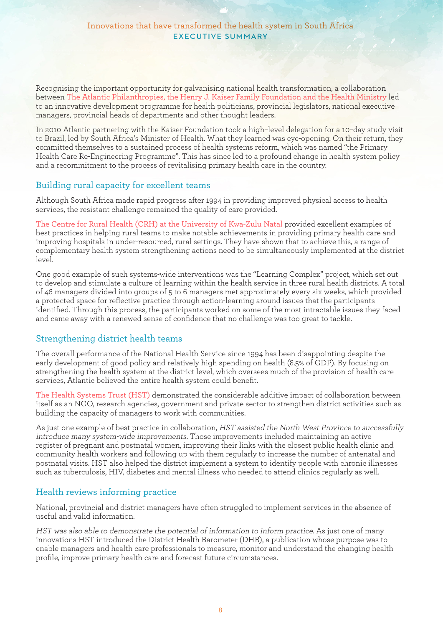Recognising the important opportunity for galvanising national health transformation, a collaboration between The Atlantic Philanthropies, the Henry J. Kaiser Family Foundation and the Health Ministry led to an innovative development programme for health politicians, provincial legislators, national executive managers, provincial heads of departments and other thought leaders.

In 2010 Atlantic partnering with the Kaiser Foundation took a high–level delegation for a 10–day study visit to Brazil, led by South Africa's Minister of Health. What they learned was eye-opening. On their return, they committed themselves to a sustained process of health systems reform, which was named "the Primary Health Care Re-Engineering Programme". This has since led to a profound change in health system policy and a recommitment to the process of revitalising primary health care in the country.

#### Building rural capacity for excellent teams

Although South Africa made rapid progress after 1994 in providing improved physical access to health services, the resistant challenge remained the quality of care provided.

The Centre for Rural Health (CRH) at the University of Kwa-Zulu Natal provided excellent examples of best practices in helping rural teams to make notable achievements in providing primary health care and improving hospitals in under-resourced, rural settings. They have shown that to achieve this, a range of complementary health system strengthening actions need to be simultaneously implemented at the district  $\vert_{\text{eV}}$ 

One good example of such systems-wide interventions was the "Learning Complex" project, which set out to develop and stimulate a culture of learning within the health service in three rural health districts. A total of 46 managers divided into groups of 5 to 6 managers met approximately every six weeks, which provided a protected space for reflective practice through action-learning around issues that the participants identified. Through this process, the participants worked on some of the most intractable issues they faced and came away with a renewed sense of confidence that no challenge was too great to tackle.

# Strengthening district health teams

The overall performance of the National Health Service since 1994 has been disappointing despite the early development of good policy and relatively high spending on health (8.5% of GDP). By focusing on strengthening the health system at the district level, which oversees much of the provision of health care services, Atlantic believed the entire health system could benefit.

The Health Systems Trust (HST) demonstrated the considerable additive impact of collaboration between itself as an NGO, research agencies, government and private sector to strengthen district activities such as building the capacity of managers to work with communities.

As just one example of best practice in collaboration, HST assisted the North West Province to successfully introduce many system-wide improvements. Those improvements included maintaining an active register of pregnant and postnatal women, improving their links with the closest public health clinic and community health workers and following up with them regularly to increase the number of antenatal and postnatal visits. HST also helped the district implement a system to identify people with chronic illnesses such as tuberculosis, HIV, diabetes and mental illness who needed to attend clinics regularly as well.

# Health reviews informing practice

National, provincial and district managers have often struggled to implement services in the absence of useful and valid information.

HST was also able to demonstrate the potential of information to inform practice. As just one of many innovations HST introduced the District Health Barometer (DHB), a publication whose purpose was to enable managers and health care professionals to measure, monitor and understand the changing health profile, improve primary health care and forecast future circumstances.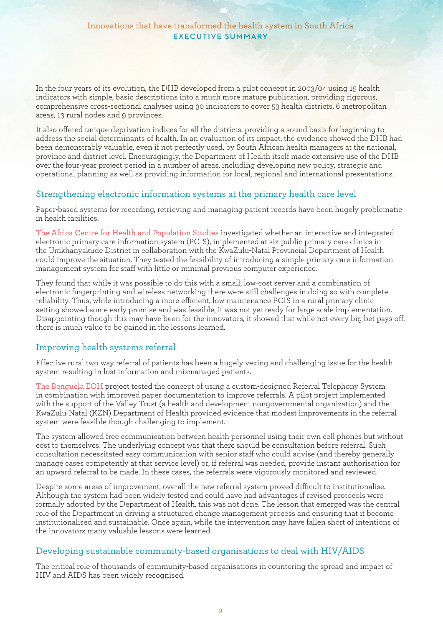In the four years of its evolution, the DHB developed from a pilot concept in 2003/04 using 15 health indicators with simple, basic descriptions into a much more mature publication, providing rigorous, comprehensive cross-sectional analyses using 30 indicators to cover 53 health districts, 6 metropolitan areas, 13 rural nodes and 9 provinces.

It also offered unique deprivation indices for all the districts, providing a sound basis for beginning to address the social determinants of health. In an evaluation of its impact, the evidence showed the DHB had been demonstrably valuable, even if not perfectly used, by South African health managers at the national, province and district level. Encouragingly, the Department of Health itself made extensive use of the DHB over the four-year project period in a number of areas, including developing new policy, strategic and operational planning as well as providing information for local, regional and international presentations.

#### Strengthening electronic information systems at the primary health care level

Paper-based systems for recording, retrieving and managing patient records have been hugely problematic in health facilities.

The Africa Centre for Health and Population Studies investigated whether an interactive and integrated electronic primary care information system (PCIS), implemented at six public primary care clinics in the Umkhanyakude District in collaboration with the KwaZulu-Natal Provincial Department of Health could improve the situation. They tested the feasibility of introducing a simple primary care information management system for staff with little or minimal previous computer experience.

They found that while it was possible to do this with a small, low-cost server and a combination of electronic fingerprinting and wireless networking there were still challenges in doing so with complete reliability. Thus, while introducing a more efficient, low maintenance PCIS in a rural primary clinic setting showed some early promise and was feasible, it was not yet ready for large scale implementation. Disappointing though this may have been for the innovators, it showed that while not every big bet pays off, there is much value to be gained in the lessons learned.

# Improving health systems referral

Effective rural two-way referral of patients has been a hugely vexing and challenging issue for the health system resulting in lost information and mismanaged patients.

The Benguela EOH project tested the concept of using a custom-designed Referral Telephony System in combination with improved paper documentation to improve referrals. A pilot project implemented with the support of the Valley Trust (a health and development nongovernmental organization) and the KwaZulu-Natal (KZN) Department of Health provided evidence that modest improvements in the referral system were feasible though challenging to implement.

The system allowed free communication between health personnel using their own cell phones but without cost to themselves. The underlying concept was that there should be consultation before referral. Such consultation necessitated easy communication with senior staff who could advise (and thereby generally manage cases competently at that service level) or, if referral was needed, provide instant authorisation for an upward referral to be made. In these cases, the referrals were vigorously monitored and reviewed.

Despite some areas of improvement, overall the new referral system proved difficult to institutionalise. Although the system had been widely tested and could have had advantages if revised protocols were formally adopted by the Department of Health, this was not done. The lesson that emerged was the central role of the Department in driving a structured change management process and ensuring that it become institutionalised and sustainable. Once again, while the intervention may have fallen short of intentions of the innovators many valuable lessons were learned.

# Developing sustainable community-based organisations to deal with HIV/AIDS

The critical role of thousands of community-based organisations in countering the spread and impact of HIV and AIDS has been widely recognised.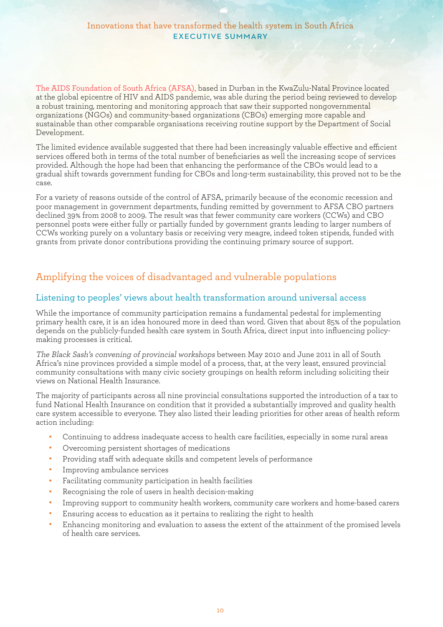The AIDS Foundation of South Africa (AFSA), based in Durban in the KwaZulu-Natal Province located at the global epicentre of HIV and AIDS pandemic, was able during the period being reviewed to develop a robust training, mentoring and monitoring approach that saw their supported nongovernmental organizations (NGOs) and community-based organizations (CBOs) emerging more capable and sustainable than other comparable organisations receiving routine support by the Department of Social Development.

The limited evidence available suggested that there had been increasingly valuable effective and efficient services offered both in terms of the total number of beneficiaries as well the increasing scope of services provided. Although the hope had been that enhancing the performance of the CBOs would lead to a gradual shift towards government funding for CBOs and long-term sustainability, this proved not to be the case.

For a variety of reasons outside of the control of AFSA, primarily because of the economic recession and poor management in government departments, funding remitted by government to AFSA CBO partners declined 39% from 2008 to 2009. The result was that fewer community care workers (CCWs) and CBO personnel posts were either fully or partially funded by government grants leading to larger numbers of CCWs working purely on a voluntary basis or receiving very meagre, indeed token stipends, funded with grants from private donor contributions providing the continuing primary source of support.

# Amplifying the voices of disadvantaged and vulnerable populations

#### Listening to peoples' views about health transformation around universal access

While the importance of community participation remains a fundamental pedestal for implementing primary health care, it is an idea honoured more in deed than word. Given that about 85% of the population depends on the publicly-funded health care system in South Africa, direct input into influencing policymaking processes is critical.

The Black Sash's convening of provincial workshops between May 2010 and June 2011 in all of South Africa's nine provinces provided a simple model of a process, that, at the very least, ensured provincial community consultations with many civic society groupings on health reform including soliciting their views on National Health Insurance.

The majority of participants across all nine provincial consultations supported the introduction of a tax to fund National Health Insurance on condition that it provided a substantially improved and quality health care system accessible to everyone. They also listed their leading priorities for other areas of health reform action including:

- <sup>l</sup> Continuing to address inadequate access to health care facilities, especially in some rural areas
- Overcoming persistent shortages of medications
- <sup>l</sup> Providing staff with adequate skills and competent levels of performance
- <sup>l</sup> Improving ambulance services
- Facilitating community participation in health facilities
- Recognising the role of users in health decision-making
- <sup>l</sup> Improving support to community health workers, community care workers and home-based carers
- <sup>l</sup> Ensuring access to education as it pertains to realizing the right to health
- <sup>l</sup> Enhancing monitoring and evaluation to assess the extent of the attainment of the promised levels of health care services.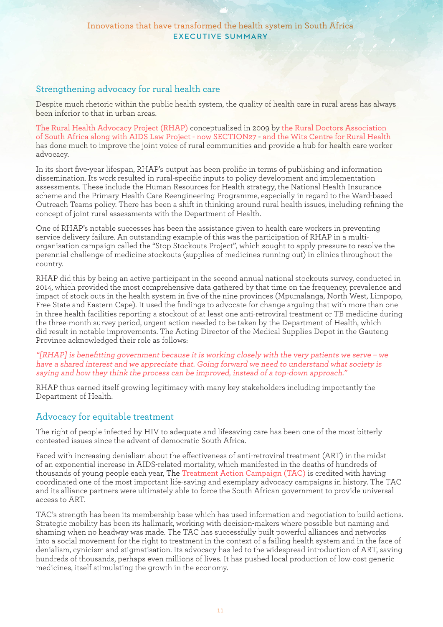#### Strengthening advocacy for rural health care

Despite much rhetoric within the public health system, the quality of health care in rural areas has always been inferior to that in urban areas.

The Rural Health Advocacy Project (RHAP) conceptualised in 2009 by the Rural Doctors Association of South Africa along with AIDS Law Project - now SECTION27 - and the Wits Centre for Rural Health has done much to improve the joint voice of rural communities and provide a hub for health care worker advocacy.

In its short five-year lifespan, RHAP's output has been prolific in terms of publishing and information dissemination. Its work resulted in rural-specific inputs to policy development and implementation assessments. These include the Human Resources for Health strategy, the National Health Insurance scheme and the Primary Health Care Reengineering Programme, especially in regard to the Ward-based Outreach Teams policy. There has been a shift in thinking around rural health issues, including refining the concept of joint rural assessments with the Department of Health.

One of RHAP's notable successes has been the assistance given to health care workers in preventing service delivery failure. An outstanding example of this was the participation of RHAP in a multiorganisation campaign called the "Stop Stockouts Project", which sought to apply pressure to resolve the perennial challenge of medicine stockouts (supplies of medicines running out) in clinics throughout the country.

RHAP did this by being an active participant in the second annual national stockouts survey, conducted in 2014, which provided the most comprehensive data gathered by that time on the frequency, prevalence and impact of stock outs in the health system in five of the nine provinces (Mpumalanga, North West, Limpopo, Free State and Eastern Cape). It used the findings to advocate for change arguing that with more than one in three health facilities reporting a stockout of at least one anti-retroviral treatment or TB medicine during the three-month survey period, urgent action needed to be taken by the Department of Health, which did result in notable improvements. The Acting Director of the Medical Supplies Depot in the Gauteng Province acknowledged their role as follows:

"[RHAP] is benefitting government because it is working closely with the very patients we serve – we have a shared interest and we appreciate that. Going forward we need to understand what society is saying and how they think the process can be improved, instead of a top-down approach."

RHAP thus earned itself growing legitimacy with many key stakeholders including importantly the Department of Health.

#### Advocacy for equitable treatment

The right of people infected by HIV to adequate and lifesaving care has been one of the most bitterly contested issues since the advent of democratic South Africa.

Faced with increasing denialism about the effectiveness of anti-retroviral treatment (ART) in the midst of an exponential increase in AIDS-related mortality, which manifested in the deaths of hundreds of thousands of young people each year, The Treatment Action Campaign (TAC) is credited with having coordinated one of the most important life-saving and exemplary advocacy campaigns in history. The TAC and its alliance partners were ultimately able to force the South African government to provide universal access to ART.

TAC's strength has been its membership base which has used information and negotiation to build actions. Strategic mobility has been its hallmark, working with decision-makers where possible but naming and shaming when no headway was made. The TAC has successfully built powerful alliances and networks into a social movement for the right to treatment in the context of a failing health system and in the face of denialism, cynicism and stigmatisation. Its advocacy has led to the widespread introduction of ART, saving hundreds of thousands, perhaps even millions of lives. It has pushed local production of low-cost generic medicines, itself stimulating the growth in the economy.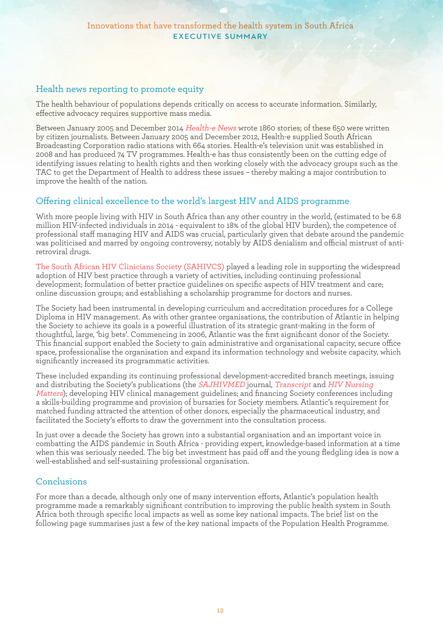#### Health news reporting to promote equity

The health behaviour of populations depends critically on access to accurate information. Similarly, effective advocacy requires supportive mass media.

Between January 2005 and December 2014 Health-e News wrote 1860 stories; of these 650 were written by citizen journalists. Between January 2005 and December 2012, Health-e supplied South African Broadcasting Corporation radio stations with 664 stories. Health-e's television unit was established in 2008 and has produced 74 TV programmes. Health-e has thus consistently been on the cutting edge of identifying issues relating to health rights and then working closely with the advocacy groups such as the TAC to get the Department of Health to address these issues – thereby making a major contribution to improve the health of the nation.

#### Offering clinical excellence to the world's largest HIV and AIDS programme

With more people living with HIV in South Africa than any other country in the world, (estimated to be 6.8 million HIV-infected individuals in 2014 - equivalent to 18% of the global HIV burden), the competence of professional staff managing HIV and AIDS was crucial, particularly given that debate around the pandemic was politicised and marred by ongoing controversy, notably by AIDS denialism and official mistrust of antiretroviral drugs.

The South African HIV Clinicians Society (SAHIVCS) played a leading role in supporting the widespread adoption of HIV best practice through a variety of activities, including continuing professional development; formulation of better practice guidelines on specific aspects of HIV treatment and care; online discussion groups; and establishing a scholarship programme for doctors and nurses.

The Society had been instrumental in developing curriculum and accreditation procedures for a College Diploma in HIV management. As with other grantee organisations, the contribution of Atlantic in helping the Society to achieve its goals is a powerful illustration of its strategic grant-making in the form of thoughtful, large, 'big bets'. Commencing in 2006, Atlantic was the first significant donor of the Society. This financial support enabled the Society to gain administrative and organisational capacity, secure office space, professionalise the organisation and expand its information technology and website capacity, which significantly increased its programmatic activities.

These included expanding its continuing professional development-accredited branch meetings, issuing and distributing the Society's publications (the *SAJHIVMED* journal, *Transcript* and *HIV Nursing* Matters); developing HIV clinical management guidelines; and financing Society conferences including a skills-building programme and provision of bursaries for Society members. Atlantic's requirement for matched funding attracted the attention of other donors, especially the pharmaceutical industry, and facilitated the Society's efforts to draw the government into the consultation process.

In just over a decade the Society has grown into a substantial organisation and an important voice in combatting the AIDS pandemic in South Africa - providing expert, knowledge-based information at a time when this was seriously needed. The big bet investment has paid off and the young fledgling idea is now a well-established and self-sustaining professional organisation.

#### Conclusions

For more than a decade, although only one of many intervention efforts, Atlantic's population health programme made a remarkably significant contribution to improving the public health system in South Africa both through specific local impacts as well as some key national impacts. The brief list on the following page summarises just a few of the key national impacts of the Population Health Programme.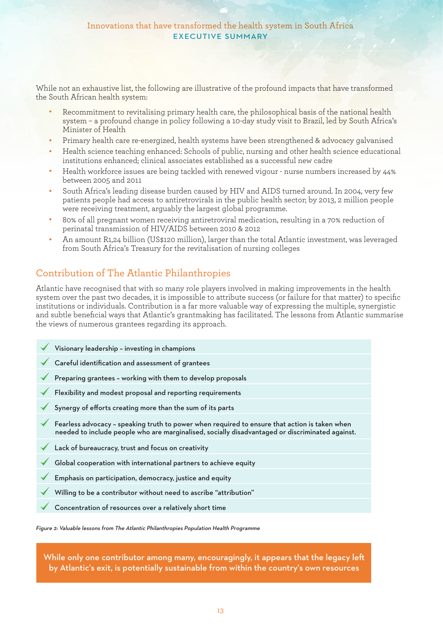#### Innovations that have transformed the health system in South Africa EXECUTIVE SUMMARY

While not an exhaustive list, the following are illustrative of the profound impacts that have transformed the South African health system:

- <sup>l</sup> Recommitment to revitalising primary health care, the philosophical basis of the national health system – a profound change in policy following a 10-day study visit to Brazil, led by South Africa's Minister of Health
- <sup>l</sup> Primary health care re-energized, health systems have been strengthened & advocacy galvanised
- <sup>l</sup> Health science teaching enhanced: Schools of public, nursing and other health science educational institutions enhanced; clinical associates established as a successful new cadre
- <sup>l</sup> Health workforce issues are being tackled with renewed vigour nurse numbers increased by 44% between 2005 and 2011
- South Africa's leading disease burden caused by HIV and AIDS turned around. In 2004, very few patients people had access to antiretrovirals in the public health sector; by 2013, 2 million people were receiving treatment, arguably the largest global programme.
- <sup>l</sup> 80% of all pregnant women receiving antiretroviral medication, resulting in a 70% reduction of perinatal transmission of HIV/AIDS between 2010 & 2012
- <sup>l</sup> An amount R1,24 billion (US\$120 million), larger than the total Atlantic investment, was leveraged from South Africa's Treasury for the revitalisation of nursing colleges

# Contribution of The Atlantic Philanthropies

Atlantic have recognised that with so many role players involved in making improvements in the health system over the past two decades, it is impossible to attribute success (or failure for that matter) to specific institutions or individuals. Contribution is a far more valuable way of expressing the multiple, synergistic and subtle beneficial ways that Atlantic's grantmaking has facilitated. The lessons from Atlantic summarise the views of numerous grantees regarding its approach.

| Visionary leadership - investing in champions                                                                                                                                                    |
|--------------------------------------------------------------------------------------------------------------------------------------------------------------------------------------------------|
| Careful identification and assessment of grantees                                                                                                                                                |
| Preparing grantees - working with them to develop proposals                                                                                                                                      |
| Flexibility and modest proposal and reporting requirements                                                                                                                                       |
| Synergy of efforts creating more than the sum of its parts                                                                                                                                       |
| Fearless advocacy - speaking truth to power when required to ensure that action is taken when<br>needed to include people who are marginalised, socially disadvantaged or discriminated against. |
| Lack of bureaucracy, trust and focus on creativity                                                                                                                                               |
| Global cooperation with international partners to achieve equity                                                                                                                                 |
| Emphasis on participation, democracy, justice and equity                                                                                                                                         |
| Willing to be a contributor without need to ascribe "attribution"                                                                                                                                |
| Concentration of resources over a relatively short time                                                                                                                                          |
|                                                                                                                                                                                                  |

Figure 2: Valuable lessons from The Atlantic Philanthropies Population Health Programme

While only one contributor among many, encouragingly, it appears that the legacy left by Atlantic's exit, is potentially sustainable from within the country's own resources